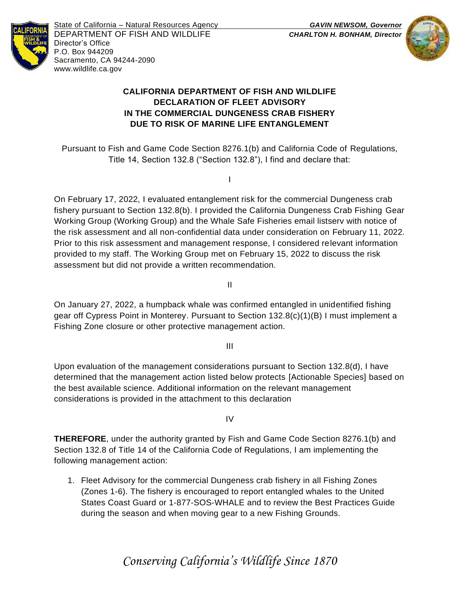

State of California – Natural Resources Agency *GAVIN NEWSOM, Governor* DEPARTMENT OF FISH AND WILDLIFE *CHARLTON H. BONHAM, Director*  Director's Office P.O. Box 944209 Sacramento, CA 94244-2090 www.wildlife.ca.gov



# **CALIFORNIA DEPARTMENT OF FISH AND WILDLIFE DECLARATION OF FLEET ADVISORY IN THE COMMERCIAL DUNGENESS CRAB FISHERY DUE TO RISK OF MARINE LIFE ENTANGLEMENT**

Pursuant to Fish and Game Code Section 8276.1(b) and California Code of Regulations, Title 14, Section 132.8 ("Section 132.8"), I find and declare that:

I

On February 17, 2022, I evaluated entanglement risk for the commercial Dungeness crab fishery pursuant to Section 132.8(b). I provided the California Dungeness Crab Fishing Gear Working Group (Working Group) and the Whale Safe Fisheries email listserv with notice of the risk assessment and all non-confidential data under consideration on February 11, 2022. Prior to this risk assessment and management response, I considered relevant information provided to my staff. The Working Group met on February 15, 2022 to discuss the risk assessment but did not provide a written recommendation.

II

On January 27, 2022, a humpback whale was confirmed entangled in unidentified fishing gear off Cypress Point in Monterey. Pursuant to Section 132.8(c)(1)(B) I must implement a Fishing Zone closure or other protective management action.

III

Upon evaluation of the management considerations pursuant to Section 132.8(d), I have determined that the management action listed below protects [Actionable Species] based on the best available science. Additional information on the relevant management considerations is provided in the attachment to this declaration

IV

**THEREFORE**, under the authority granted by Fish and Game Code Section 8276.1(b) and Section 132.8 of Title 14 of the California Code of Regulations, I am implementing the following management action:

1. Fleet Advisory for the commercial Dungeness crab fishery in all Fishing Zones (Zones 1-6). The fishery is encouraged to report entangled whales to the United States Coast Guard or 1-877-SOS-WHALE and to review the Best Practices Guide during the season and when moving gear to a new Fishing Grounds.

*Conserving California's Wildlife Since 1870*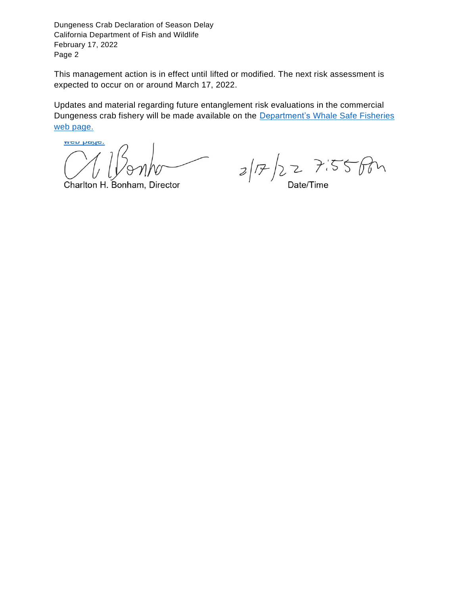This management action is in effect until lifted or modified. The next risk assessment is expected to occur on or around March 17, 2022.

Updates and material regarding future entanglement risk evaluations in the commercial Dungeness crab fishery will be made available on the [Department's Whale Safe Fisheries](http://www.wildlife.ca.gov/Conservation/Marine/Whale-Safe-Fisheries)  [web page.](http://www.wildlife.ca.gov/Conservation/Marine/Whale-Safe-Fisheries)

**VYON Nayo.** 

Charlton H. Bonham, Director

 $2/F/227.55fm$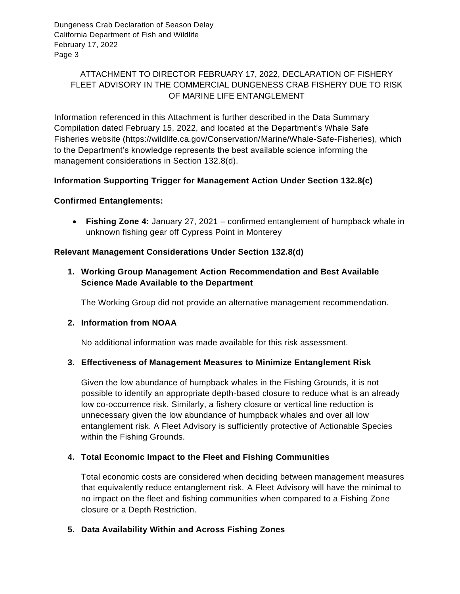# ATTACHMENT TO DIRECTOR FEBRUARY 17, 2022, DECLARATION OF FISHERY FLEET ADVISORY IN THE COMMERCIAL DUNGENESS CRAB FISHERY DUE TO RISK OF MARINE LIFE ENTANGLEMENT

Information referenced in this Attachment is further described in the Data Summary Compilation dated February 15, 2022, and located at the Department's Whale Safe Fisheries website (https://wildlife.ca.gov/Conservation/Marine/Whale-Safe-Fisheries), which to the Department's knowledge represents the best available science informing the management considerations in Section 132.8(d).

# **Information Supporting Trigger for Management Action Under Section 132.8(c)**

#### **Confirmed Entanglements:**

• **Fishing Zone 4:** January 27, 2021 – confirmed entanglement of humpback whale in unknown fishing gear off Cypress Point in Monterey

### **Relevant Management Considerations Under Section 132.8(d)**

# **1. Working Group Management Action Recommendation and Best Available Science Made Available to the Department**

The Working Group did not provide an alternative management recommendation.

#### **2. Information from NOAA**

No additional information was made available for this risk assessment.

#### **3. Effectiveness of Management Measures to Minimize Entanglement Risk**

Given the low abundance of humpback whales in the Fishing Grounds, it is not possible to identify an appropriate depth-based closure to reduce what is an already low co-occurrence risk. Similarly, a fishery closure or vertical line reduction is unnecessary given the low abundance of humpback whales and over all low entanglement risk. A Fleet Advisory is sufficiently protective of Actionable Species within the Fishing Grounds.

#### **4. Total Economic Impact to the Fleet and Fishing Communities**

Total economic costs are considered when deciding between management measures that equivalently reduce entanglement risk. A Fleet Advisory will have the minimal to no impact on the fleet and fishing communities when compared to a Fishing Zone closure or a Depth Restriction.

#### **5. Data Availability Within and Across Fishing Zones**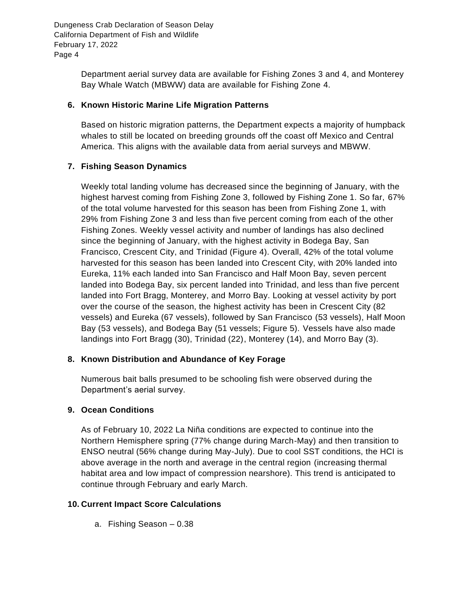> Department aerial survey data are available for Fishing Zones 3 and 4, and Monterey Bay Whale Watch (MBWW) data are available for Fishing Zone 4.

### **6. Known Historic Marine Life Migration Patterns**

Based on historic migration patterns, the Department expects a majority of humpback whales to still be located on breeding grounds off the coast off Mexico and Central America. This aligns with the available data from aerial surveys and MBWW.

# **7. Fishing Season Dynamics**

Weekly total landing volume has decreased since the beginning of January, with the highest harvest coming from Fishing Zone 3, followed by Fishing Zone 1. So far, 67% of the total volume harvested for this season has been from Fishing Zone 1, with 29% from Fishing Zone 3 and less than five percent coming from each of the other Fishing Zones. Weekly vessel activity and number of landings has also declined since the beginning of January, with the highest activity in Bodega Bay, San Francisco, Crescent City, and Trinidad (Figure 4). Overall, 42% of the total volume harvested for this season has been landed into Crescent City, with 20% landed into Eureka, 11% each landed into San Francisco and Half Moon Bay, seven percent landed into Bodega Bay, six percent landed into Trinidad, and less than five percent landed into Fort Bragg, Monterey, and Morro Bay. Looking at vessel activity by port over the course of the season, the highest activity has been in Crescent City (82 vessels) and Eureka (67 vessels), followed by San Francisco (53 vessels), Half Moon Bay (53 vessels), and Bodega Bay (51 vessels; Figure 5). Vessels have also made landings into Fort Bragg (30), Trinidad (22), Monterey (14), and Morro Bay (3).

# **8. Known Distribution and Abundance of Key Forage**

Numerous bait balls presumed to be schooling fish were observed during the Department's aerial survey.

# **9. Ocean Conditions**

As of February 10, 2022 La Niña conditions are expected to continue into the Northern Hemisphere spring (77% change during March-May) and then transition to ENSO neutral (56% change during May-July). Due to cool SST conditions, the HCI is above average in the north and average in the central region (increasing thermal habitat area and low impact of compression nearshore). This trend is anticipated to continue through February and early March.

# **10. Current Impact Score Calculations**

a. Fishing Season – 0.38